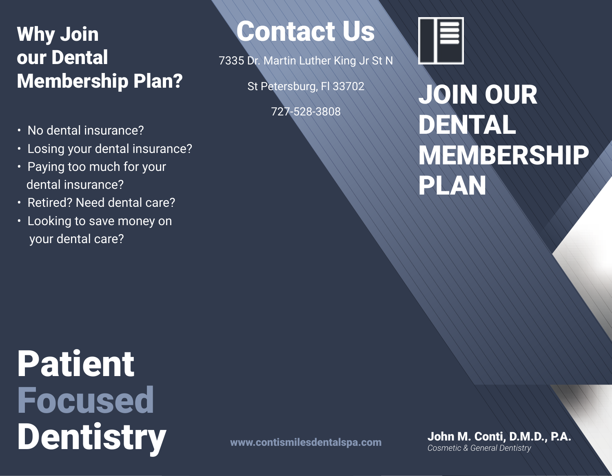## Why Join our Dental Membership Plan?

- No dental insurance?
- Losing your dental insurance?
- Paying too much for your dental insurance?
- Retired? Need dental care?
- Looking to save money on your dental care?

Contact Us

7335 Dr. Martin Luther King Jr St N

St Petersburg, Fl 33702

727-528-3808



# JOIN OUR DENTAL MEMBERSHIP PLAN

Patient Focused Dentistry

John M. Conti, D.M.D., P.A. *Cosmetic & General Dentistry*